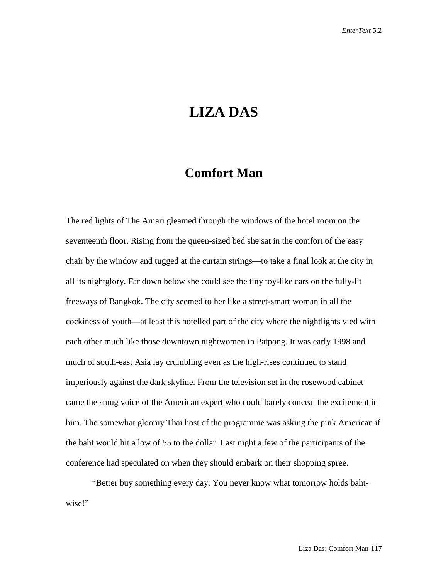## **LIZA DAS**

## **Comfort Man**

The red lights of The Amari gleamed through the windows of the hotel room on the seventeenth floor. Rising from the queen-sized bed she sat in the comfort of the easy chair by the window and tugged at the curtain strings—to take a final look at the city in all its nightglory. Far down below she could see the tiny toy-like cars on the fully-lit freeways of Bangkok. The city seemed to her like a street-smart woman in all the cockiness of youth—at least this hotelled part of the city where the nightlights vied with each other much like those downtown nightwomen in Patpong. It was early 1998 and much of south-east Asia lay crumbling even as the high-rises continued to stand imperiously against the dark skyline. From the television set in the rosewood cabinet came the smug voice of the American expert who could barely conceal the excitement in him. The somewhat gloomy Thai host of the programme was asking the pink American if the baht would hit a low of 55 to the dollar. Last night a few of the participants of the conference had speculated on when they should embark on their shopping spree.

"Better buy something every day. You never know what tomorrow holds bahtwise!"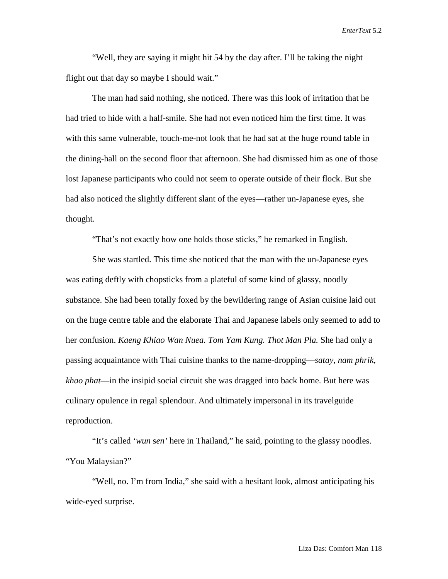"Well, they are saying it might hit 54 by the day after. I'll be taking the night flight out that day so maybe I should wait."

The man had said nothing, she noticed. There was this look of irritation that he had tried to hide with a half-smile. She had not even noticed him the first time. It was with this same vulnerable, touch-me-not look that he had sat at the huge round table in the dining-hall on the second floor that afternoon. She had dismissed him as one of those lost Japanese participants who could not seem to operate outside of their flock. But she had also noticed the slightly different slant of the eyes—rather un-Japanese eyes, she thought.

"That's not exactly how one holds those sticks," he remarked in English.

She was startled. This time she noticed that the man with the un-Japanese eyes was eating deftly with chopsticks from a plateful of some kind of glassy, noodly substance. She had been totally foxed by the bewildering range of Asian cuisine laid out on the huge centre table and the elaborate Thai and Japanese labels only seemed to add to her confusion. *Kaeng Khiao Wan Nuea. Tom Yam Kung. Thot Man Pla.* She had only a passing acquaintance with Thai cuisine thanks to the name-dropping—*satay, nam phrik, khao phat*—in the insipid social circuit she was dragged into back home. But here was culinary opulence in regal splendour. And ultimately impersonal in its travelguide reproduction.

"It's called '*wun* s*en'* here in Thailand," he said, pointing to the glassy noodles. "You Malaysian?"

"Well, no. I'm from India," she said with a hesitant look, almost anticipating his wide-eyed surprise.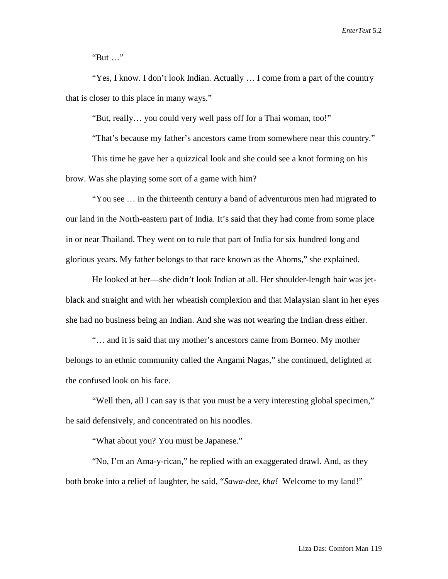"But …"

"Yes, I know. I don't look Indian. Actually … I come from a part of the country that is closer to this place in many ways."

"But, really… you could very well pass off for a Thai woman, too!"

"That's because my father's ancestors came from somewhere near this country."

This time he gave her a quizzical look and she could see a knot forming on his brow. Was she playing some sort of a game with him?

"You see … in the thirteenth century a band of adventurous men had migrated to our land in the North-eastern part of India. It's said that they had come from some place in or near Thailand. They went on to rule that part of India for six hundred long and glorious years. My father belongs to that race known as the Ahoms," she explained.

He looked at her—she didn't look Indian at all. Her shoulder-length hair was jetblack and straight and with her wheatish complexion and that Malaysian slant in her eyes she had no business being an Indian. And she was not wearing the Indian dress either.

"… and it is said that my mother's ancestors came from Borneo. My mother belongs to an ethnic community called the Angami Nagas," she continued, delighted at the confused look on his face.

"Well then, all I can say is that you must be a very interesting global specimen," he said defensively, and concentrated on his noodles.

"What about you? You must be Japanese."

"No, I'm an Ama-y-rican," he replied with an exaggerated drawl. And, as they both broke into a relief of laughter, he said, "*Sawa-dee, kha!* Welcome to my land!"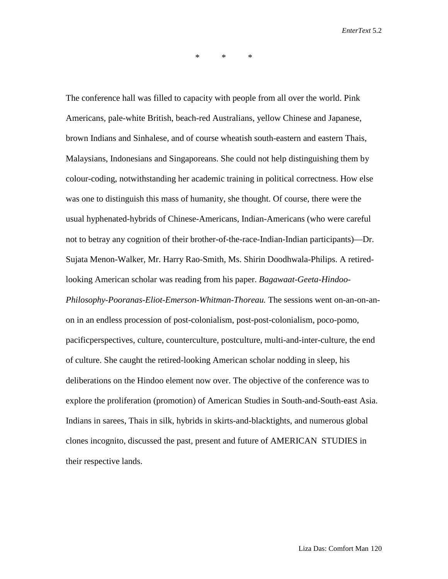\* \* \*

The conference hall was filled to capacity with people from all over the world. Pink Americans, pale-white British, beach-red Australians, yellow Chinese and Japanese, brown Indians and Sinhalese, and of course wheatish south-eastern and eastern Thais, Malaysians, Indonesians and Singaporeans. She could not help distinguishing them by colour-coding, notwithstanding her academic training in political correctness. How else was one to distinguish this mass of humanity, she thought. Of course, there were the usual hyphenated-hybrids of Chinese-Americans, Indian-Americans (who were careful not to betray any cognition of their brother-of-the-race-Indian-Indian participants)—Dr. Sujata Menon-Walker, Mr. Harry Rao-Smith, Ms. Shirin Doodhwala-Philips. A retiredlooking American scholar was reading from his paper. *Bagawaat-Geeta-Hindoo-Philosophy-Pooranas-Eliot-Emerson-Whitman-Thoreau.* The sessions went on-an-on-anon in an endless procession of post-colonialism, post-post-colonialism, poco-pomo, pacificperspectives, culture, counterculture, postculture, multi-and-inter-culture, the end of culture. She caught the retired-looking American scholar nodding in sleep, his deliberations on the Hindoo element now over. The objective of the conference was to explore the proliferation (promotion) of American Studies in South-and-South-east Asia. Indians in sarees, Thais in silk, hybrids in skirts-and-blacktights, and numerous global clones incognito, discussed the past, present and future of AMERICAN STUDIES in their respective lands.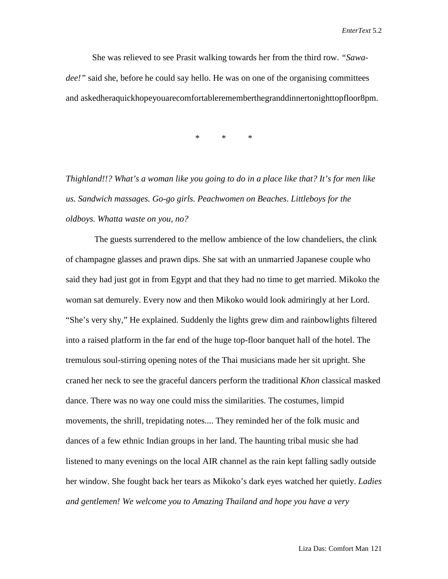She was relieved to see Prasit walking towards her from the third row. *"Sawadee!*" said she, before he could say hello. He was on one of the organising committees and askedheraquickhopeyouarecomfortablerememberthegranddinnertonighttopfloor8pm.

\* \* \*

*Thighland!!? What's a woman like you going to do in a place like that? It's for men like us. Sandwich massages. Go-go girls. Peachwomen on Beaches*. *Littleboys for the oldboys. Whatta waste on you, no?* 

The guests surrendered to the mellow ambience of the low chandeliers, the clink of champagne glasses and prawn dips. She sat with an unmarried Japanese couple who said they had just got in from Egypt and that they had no time to get married. Mikoko the woman sat demurely. Every now and then Mikoko would look admiringly at her Lord. "She's very shy," He explained. Suddenly the lights grew dim and rainbowlights filtered into a raised platform in the far end of the huge top-floor banquet hall of the hotel. The tremulous soul-stirring opening notes of the Thai musicians made her sit upright. She craned her neck to see the graceful dancers perform the traditional *Khon* classical masked dance. There was no way one could miss the similarities. The costumes, limpid movements, the shrill, trepidating notes.... They reminded her of the folk music and dances of a few ethnic Indian groups in her land. The haunting tribal music she had listened to many evenings on the local AIR channel as the rain kept falling sadly outside her window. She fought back her tears as Mikoko's dark eyes watched her quietly. *Ladies and gentlemen! We welcome you to Amazing Thailand and hope you have a very*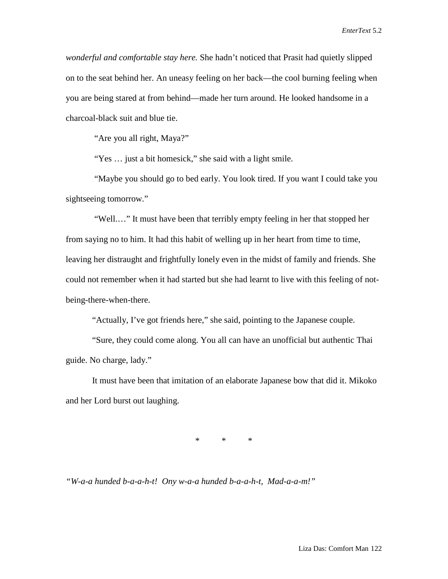*wonderful and comfortable stay here.* She hadn't noticed that Prasit had quietly slipped on to the seat behind her. An uneasy feeling on her back—the cool burning feeling when you are being stared at from behind—made her turn around. He looked handsome in a charcoal-black suit and blue tie.

"Are you all right, Maya?"

"Yes … just a bit homesick," she said with a light smile.

"Maybe you should go to bed early. You look tired. If you want I could take you sightseeing tomorrow."

"Well.…" It must have been that terribly empty feeling in her that stopped her from saying no to him. It had this habit of welling up in her heart from time to time, leaving her distraught and frightfully lonely even in the midst of family and friends. She could not remember when it had started but she had learnt to live with this feeling of notbeing-there-when-there.

"Actually, I've got friends here," she said, pointing to the Japanese couple.

"Sure, they could come along. You all can have an unofficial but authentic Thai guide. No charge, lady."

It must have been that imitation of an elaborate Japanese bow that did it. Mikoko and her Lord burst out laughing.

\* \* \*

*"W-a-a hunded b-a-a-h-t! Ony w-a-a hunded b-a-a-h-t, Mad-a-a-m!"*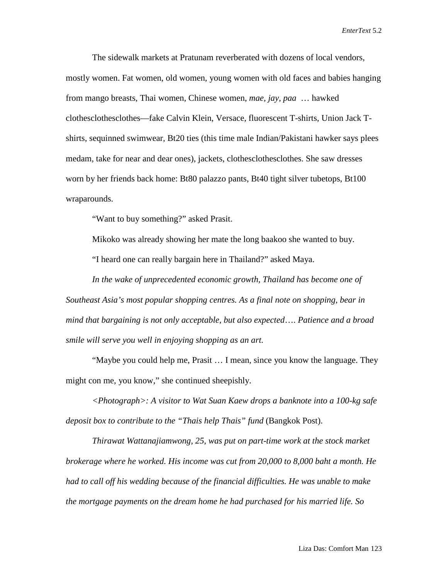The sidewalk markets at Pratunam reverberated with dozens of local vendors, mostly women. Fat women, old women, young women with old faces and babies hanging from mango breasts, Thai women, Chinese women, *mae, jay, paa* … hawked clothesclothesclothes—fake Calvin Klein, Versace, fluorescent T-shirts, Union Jack Tshirts, sequinned swimwear, Bt20 ties (this time male Indian/Pakistani hawker says plees medam, take for near and dear ones), jackets, clothesclothesclothes. She saw dresses worn by her friends back home: Bt80 palazzo pants, Bt40 tight silver tubetops, Bt100 wraparounds.

"Want to buy something?" asked Prasit.

Mikoko was already showing her mate the long baakoo she wanted to buy. "I heard one can really bargain here in Thailand?" asked Maya.

*In the wake of unprecedented economic growth, Thailand has become one of Southeast Asia's most popular shopping centres. As a final note on shopping, bear in mind that bargaining is not only acceptable, but also expected*…. *Patience and a broad smile will serve you well in enjoying shopping as an art.*

"Maybe you could help me, Prasit … I mean, since you know the language. They might con me, you know," she continued sheepishly.

*<Photograph>: A visitor to Wat Suan Kaew drops a banknote into a 100-kg safe deposit box to contribute to the "Thais help Thais" fund* (Bangkok Post).

*Thirawat Wattanajiamwong, 25, was put on part-time work at the stock market brokerage where he worked. His income was cut from 20,000 to 8,000 baht a month. He had to call off his wedding because of the financial difficulties. He was unable to make the mortgage payments on the dream home he had purchased for his married life. So*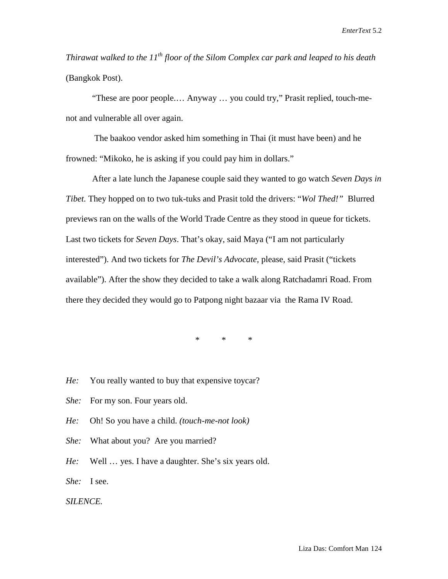*Thirawat walked to the 11th floor of the Silom Complex car park and leaped to his death*  (Bangkok Post).

"These are poor people.… Anyway … you could try," Prasit replied, touch-menot and vulnerable all over again.

The baakoo vendor asked him something in Thai (it must have been) and he frowned: "Mikoko, he is asking if you could pay him in dollars."

After a late lunch the Japanese couple said they wanted to go watch *Seven Days in Tibet.* They hopped on to two tuk-tuks and Prasit told the drivers: "*Wol Thed!"* Blurred previews ran on the walls of the World Trade Centre as they stood in queue for tickets. Last two tickets for *Seven Days*. That's okay, said Maya ("I am not particularly interested"). And two tickets for *The Devil's Advocate,* please, said Prasit ("tickets available"). After the show they decided to take a walk along Ratchadamri Road. From there they decided they would go to Patpong night bazaar via the Rama IV Road.

\* \* \*

- *He:* You really wanted to buy that expensive toycar?
- *She:* For my son. Four years old.
- *He:* Oh! So you have a child. *(touch-me-not look)*
- *She:* What about you? Are you married?
- *He:* Well … yes. I have a daughter. She's six years old.
- *She:* I see.

## *SILENCE.*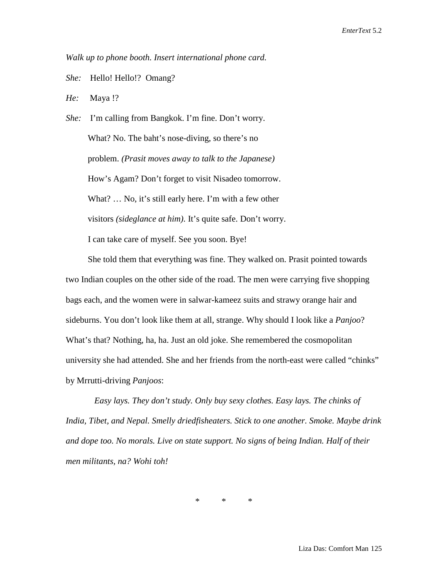*Walk up to phone booth. Insert international phone card.*

*She:* Hello! Hello!? Omang?

*He:* Maya !?

*She:* I'm calling from Bangkok. I'm fine. Don't worry. What? No. The baht's nose-diving, so there's no problem. *(Prasit moves away to talk to the Japanese)* How's Agam? Don't forget to visit Nisadeo tomorrow. What? ... No, it's still early here. I'm with a few other visitors *(sideglance at him)*. It's quite safe. Don't worry. I can take care of myself. See you soon. Bye!

 She told them that everything was fine. They walked on. Prasit pointed towards two Indian couples on the other side of the road. The men were carrying five shopping bags each, and the women were in salwar-kameez suits and strawy orange hair and sideburns. You don't look like them at all, strange. Why should I look like a *Panjoo*? What's that? Nothing, ha, ha. Just an old joke. She remembered the cosmopolitan university she had attended. She and her friends from the north-east were called "chinks" by Mrrutti-driving *Panjoos*:

*Easy lays. They don't study. Only buy sexy clothes. Easy lays. The chinks of India, Tibet, and Nepal. Smelly driedfisheaters. Stick to one another. Smoke. Maybe drink and dope too. No morals. Live on state support. No signs of being Indian. Half of their men militants, na? Wohi toh!*

\* \* \*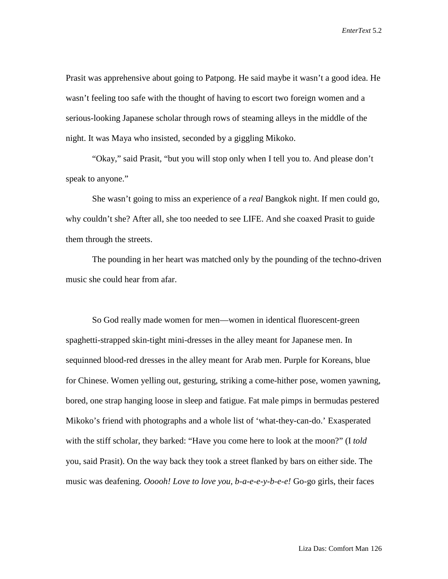Prasit was apprehensive about going to Patpong. He said maybe it wasn't a good idea. He wasn't feeling too safe with the thought of having to escort two foreign women and a serious-looking Japanese scholar through rows of steaming alleys in the middle of the night. It was Maya who insisted, seconded by a giggling Mikoko.

"Okay," said Prasit, "but you will stop only when I tell you to. And please don't speak to anyone."

She wasn't going to miss an experience of a *real* Bangkok night. If men could go, why couldn't she? After all, she too needed to see LIFE. And she coaxed Prasit to guide them through the streets.

The pounding in her heart was matched only by the pounding of the techno-driven music she could hear from afar.

So God really made women for men—women in identical fluorescent-green spaghetti-strapped skin-tight mini-dresses in the alley meant for Japanese men. In sequinned blood-red dresses in the alley meant for Arab men. Purple for Koreans, blue for Chinese. Women yelling out, gesturing, striking a come-hither pose, women yawning, bored, one strap hanging loose in sleep and fatigue. Fat male pimps in bermudas pestered Mikoko's friend with photographs and a whole list of 'what-they-can-do.' Exasperated with the stiff scholar, they barked: "Have you come here to look at the moon?" (I *told* you, said Prasit). On the way back they took a street flanked by bars on either side. The music was deafening. *Ooooh! Love to love you, b-a-e-e-y-b-e-e!* Go-go girls, their faces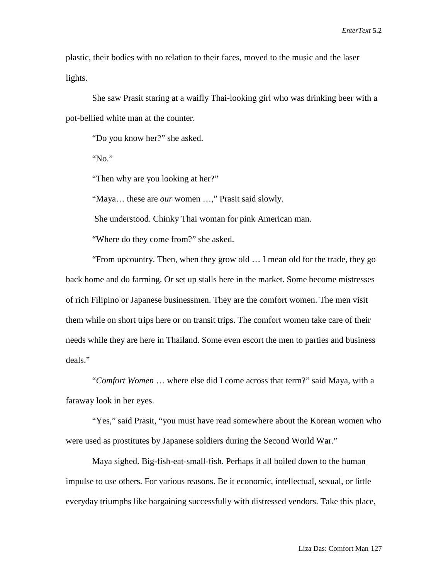plastic, their bodies with no relation to their faces, moved to the music and the laser lights.

She saw Prasit staring at a waifly Thai-looking girl who was drinking beer with a pot-bellied white man at the counter.

"Do you know her?" she asked.

"No."

"Then why are you looking at her?"

"Maya… these are *our* women …," Prasit said slowly.

She understood. Chinky Thai woman for pink American man.

"Where do they come from?" she asked.

"From upcountry. Then, when they grow old … I mean old for the trade, they go back home and do farming. Or set up stalls here in the market. Some become mistresses of rich Filipino or Japanese businessmen. They are the comfort women. The men visit them while on short trips here or on transit trips. The comfort women take care of their needs while they are here in Thailand. Some even escort the men to parties and business deals."

"*Comfort Women* … where else did I come across that term?" said Maya, with a faraway look in her eyes.

"Yes," said Prasit, "you must have read somewhere about the Korean women who were used as prostitutes by Japanese soldiers during the Second World War."

Maya sighed. Big-fish-eat-small-fish. Perhaps it all boiled down to the human impulse to use others. For various reasons. Be it economic, intellectual, sexual, or little everyday triumphs like bargaining successfully with distressed vendors. Take this place,